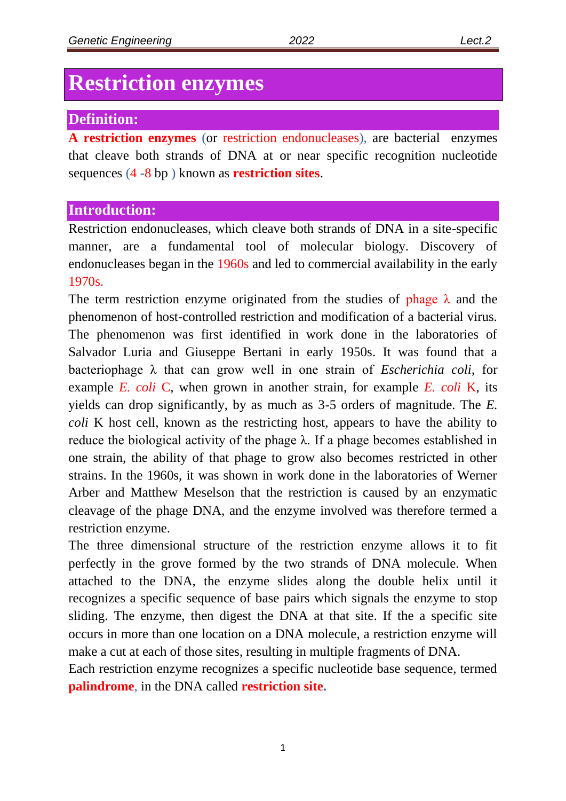# **Restriction enzymes**

### **Definition:**

**A restriction enzymes** (or restriction endonucleases), are bacterial enzymes that cleave both strands of DNA at or near specific recognition nucleotide sequences (4 -8 bp ) known as **restriction sites**.

## **Introduction:**

Restriction endonucleases, which cleave both strands of DNA in a site-specific manner, are a fundamental tool of molecular biology. Discovery of endonucleases began in the 1960s and led to commercial availability in the early 1970s.

The term restriction enzyme originated from the studies of phage  $\lambda$  and the phenomenon of host-controlled restriction and modification of a bacterial virus. The phenomenon was first identified in work done in the laboratories of Salvador Luria and Giuseppe Bertani in early 1950s. It was found that a bacteriophage λ that can grow well in one strain of *Escherichia coli*, for example *E. coli* C, when grown in another strain, for example *E. coli* K, its yields can drop significantly, by as much as 3-5 orders of magnitude. The *E. coli* K host cell, known as the restricting host, appears to have the ability to reduce the biological activity of the phage  $λ$ . If a phage becomes established in one strain, the ability of that phage to grow also becomes restricted in other strains. In the 1960s, it was shown in work done in the laboratories of Werner Arber and Matthew Meselson that the restriction is caused by an enzymatic cleavage of the phage DNA, and the enzyme involved was therefore termed a restriction enzyme.

The three dimensional structure of the restriction enzyme allows it to fit perfectly in the grove formed by the two strands of DNA molecule. When attached to the DNA, the enzyme slides along the double helix until it recognizes a specific sequence of base pairs which signals the enzyme to stop sliding. The enzyme, then digest the DNA at that site. If the a specific site occurs in more than one location on a DNA molecule, a restriction enzyme will make a cut at each of those sites, resulting in multiple fragments of DNA.

Each restriction enzyme recognizes a specific nucleotide base sequence, termed **palindrome**, in the DNA called **restriction site.**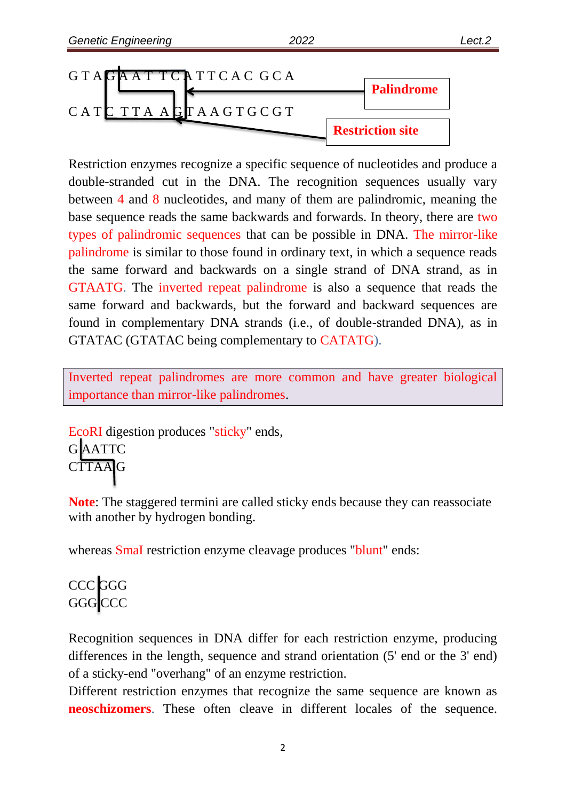

Restriction enzymes recognize a specific sequence of nucleotides and produce a double-stranded cut in the DNA. The recognition sequences usually vary between 4 and 8 nucleotides, and many of them are palindromic, meaning the base sequence reads the same backwards and forwards. In theory, there are two types of palindromic sequences that can be possible in DNA. The mirror-like palindrome is similar to those found in ordinary text, in which a sequence reads the same forward and backwards on a single strand of DNA strand, as in GTAATG. The inverted repeat palindrome is also a sequence that reads the same forward and backwards, but the forward and backward sequences are found in complementary DNA strands (i.e., of double-stranded DNA), as in GTATAC (GTATAC being complementary to CATATG).

Inverted repeat palindromes are more common and have greater biological importance than mirror-like palindromes.

EcoRI digestion produces "sticky" ends, G AATTC **CTTAAG** 

**Note**: The staggered termini are called sticky ends because they can reassociate with another by hydrogen bonding.

whereas SmaI restriction enzyme cleavage produces "blunt" ends:

# CCC GGG GGG CCC

Recognition sequences in DNA differ for each restriction enzyme, producing differences in the length, sequence and strand orientation (5' end or the 3' end) of a sticky-end "overhang" of an enzyme restriction.

Different restriction enzymes that recognize the same sequence are known as **neoschizomers**. These often cleave in different locales of the sequence.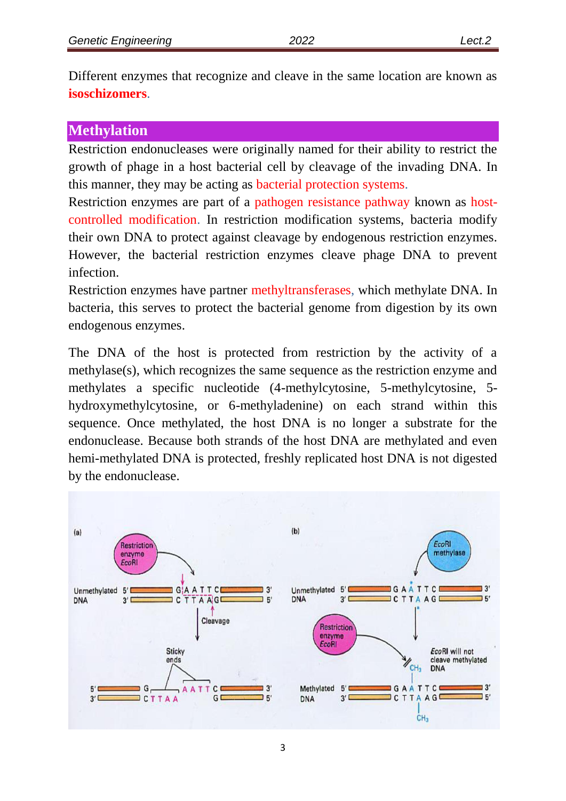Different enzymes that recognize and cleave in the same location are known as **isoschizomers**.

#### **Methylation**

Restriction endonucleases were originally named for their ability to restrict the growth of phage in a host bacterial cell by cleavage of the invading DNA. In this manner, they may be acting as bacterial protection systems.

Restriction enzymes are part of a pathogen resistance pathway known as hostcontrolled modification. In restriction modification systems, bacteria modify their own DNA to protect against cleavage by endogenous restriction enzymes. However, the bacterial restriction enzymes cleave phage DNA to prevent infection.

Restriction enzymes have partner methyltransferases, which methylate DNA. In bacteria, this serves to protect the bacterial genome from digestion by its own endogenous enzymes.

The DNA of the host is protected from restriction by the activity of a methylase(s), which recognizes the same sequence as the restriction enzyme and methylates a specific nucleotide (4-methylcytosine, 5-methylcytosine, 5 hydroxymethylcytosine, or 6-methyladenine) on each strand within this sequence. Once methylated, the host DNA is no longer a substrate for the endonuclease. Because both strands of the host DNA are methylated and even hemi-methylated DNA is protected, freshly replicated host DNA is not digested by the endonuclease.

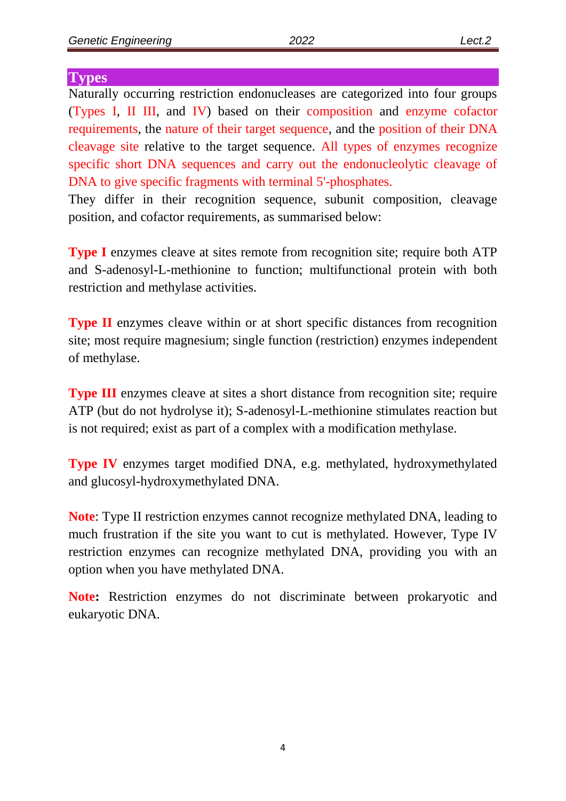#### **Types**

Naturally occurring restriction endonucleases are categorized into four groups (Types I, II III, and IV) based on their composition and enzyme cofactor requirements, the nature of their target sequence, and the position of their DNA cleavage site relative to the target sequence. All types of enzymes recognize specific short DNA sequences and carry out the endonucleolytic cleavage of DNA to give specific fragments with terminal 5'-phosphates.

They differ in their recognition sequence, subunit composition, cleavage position, and cofactor requirements, as summarised below:

**Type I** enzymes cleave at sites remote from recognition site; require both ATP and S-adenosyl-L-methionine to function; multifunctional protein with both restriction and methylase activities.

**Type II** enzymes cleave within or at short specific distances from recognition site; most require magnesium; single function (restriction) enzymes independent of methylase.

**Type III** enzymes cleave at sites a short distance from recognition site; require ATP (but do not hydrolyse it); S-adenosyl-L-methionine stimulates reaction but is not required; exist as part of a complex with a modification methylase.

**Type IV** enzymes target modified DNA, e.g. methylated, hydroxymethylated and glucosyl-hydroxymethylated DNA.

**Note**: Type II restriction enzymes cannot recognize methylated DNA, leading to much frustration if the site you want to cut is methylated. However, Type IV restriction enzymes can recognize methylated DNA, providing you with an option when you have methylated DNA.

**Note:** Restriction enzymes do not discriminate between prokaryotic and eukaryotic DNA.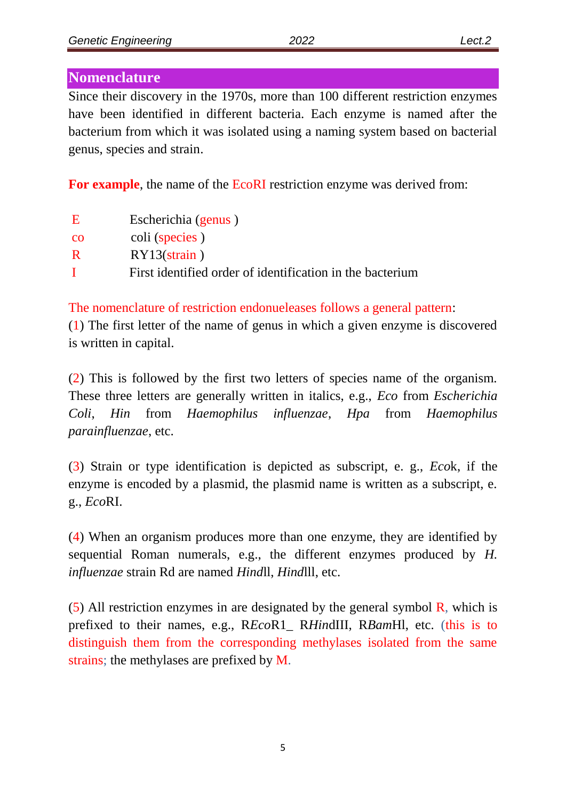#### **Nomenclature**

Since their discovery in the 1970s, more than 100 different restriction enzymes have been identified in different bacteria. Each enzyme is named after the bacterium from which it was isolated using a naming system based on bacterial genus, species and strain.

**For example**, the name of the EcoRI restriction enzyme was derived from:

| E              | Escherichia (genus)                                       |
|----------------|-----------------------------------------------------------|
| <sub>c</sub> o | coli (species)                                            |
| $\mathbf R$    | $RY13(\text{strain})$                                     |
| -1             | First identified order of identification in the bacterium |

The nomenclature of restriction endonueleases follows a general pattern:

(1) The first letter of the name of genus in which a given enzyme is discovered is written in capital.

(2) This is followed by the first two letters of species name of the organism. These three letters are generally written in italics, e.g., *Eco* from *Escherichia Coli*, *Hin* from *Haemophilus influenzae*, *Hpa* from *Haemophilus parainfluenzae*, etc.

(3) Strain or type identification is depicted as subscript, e. g., *Eco*k, if the enzyme is encoded by a plasmid, the plasmid name is written as a subscript, e. g., *Eco*RI.

(4) When an organism produces more than one enzyme, they are identified by sequential Roman numerals, e.g., the different enzymes produced by *H. influenzae* strain Rd are named *Hind*ll, *Hind*lll, etc.

(5) All restriction enzymes in are designated by the general symbol  $\bf{R}$ , which is prefixed to their names, e.g., R*Eco*R1\_ R*Hin*dIII, R*Bam*Hl, etc. (this is to distinguish them from the corresponding methylases isolated from the same strains; the methylases are prefixed by M.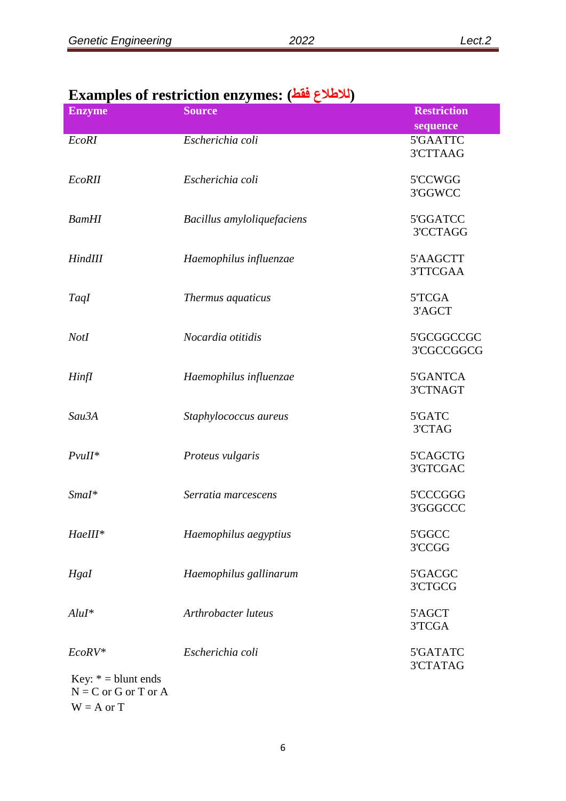| <b>Enzyme</b>         | <b>Source</b>              | <b>Restriction</b>          |
|-----------------------|----------------------------|-----------------------------|
|                       |                            | sequence                    |
| EcoRI                 | Escherichia coli           | 5'GAATTC<br>3'CTTAAG        |
| <b>EcoRII</b>         | Escherichia coli           | 5'CCWGG<br>3'GGWCC          |
| <b>BamHI</b>          | Bacillus amyloliquefaciens | 5'GGATCC<br>3'CCTAGG        |
| HindIII               | Haemophilus influenzae     | 5'AAGCTT<br>3'TTCGAA        |
| TaqI                  | Thermus aquaticus          | 5TCGA<br>3'AGCT             |
| <b>NotI</b>           | Nocardia otitidis          | 5'GCGGCCGC<br>3'CGCCGGCG    |
| Hinfl                 | Haemophilus influenzae     | 5'GANTCA<br><b>3'CTNAGT</b> |
| Sau3A                 | Staphylococcus aureus      | 5'GATC<br>3'CTAG            |
| $P$ vuII*             | Proteus vulgaris           | 5'CAGCTG<br>3'GTCGAC        |
| $SmaI^*$              | Serratia marcescens        | 5'CCCGGG<br>3'GGGCCC        |
| HaeIII*               | Haemophilus aegyptius      | 5'GGCC<br>3'CCGG            |
| Hgal                  | Haemophilus gallinarum     | 5'GACGC<br>3'CTGCG          |
| $Alul^*$              | Arthrobacter luteus        | 5'AGCT<br>3'TCGA            |
| EcoRV*                | Escherichia coli           | 5'GATATC<br>3'CTATAG        |
| Key: $* =$ blunt ends |                            |                             |

## **Examples of restriction enzymes: (فقط لالطالع(**

 $N = C$  or G or T or A  $W = A$  or  $T$